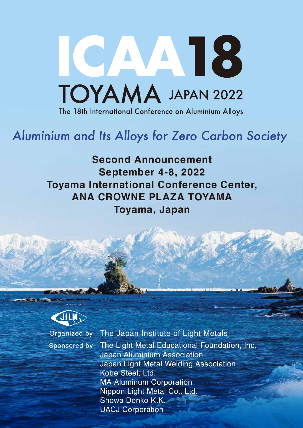

# Aluminium and Its Alloys for Zero Carbon Society

**Second Announcement September 4-8, 2022 Toyama International Conference Center, ANA CROWNE PLAZA TOYAMA Toyama, Japan**



Organized by The Japan Institute of Light Metals Sponsored by The Light Metal Educational Foundation, Inc. Japan Aluminium Association Japan Light Metal Welding Association Kobe Steel, Ltd. MA Aluminum Corporation Nippon Light Metal Co., Ltd. Showa Denko K.K. UACJ Corporation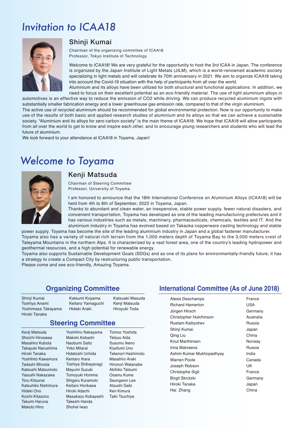## Invitation to ICAA18



#### Shinji Kumai

Chairman of the organizing committee of ICAA18 Professor, Tokyo Institute of Technology

Welcome to ICAA18! We are very grateful for the opportunity to host the 3rd ICAA in Japan. The conference is organized by the Japan Institute of Light Metals (JILM), which is a world-renowned academic society specializing in light metals and will celebrate its 70th anniversary in 2021. We aim to organize ICAA18 taking into account the Covid-19 situation with the help of participants from all over the world.

Aluminium and its alloys have been utilized for both structural and functional applications. In addition, we need to focus on their excellent potential as an eco-friendly material. The use of light aluminium alloys in automotives is an effective way to reduce the emission of CO2 while driving. We can produce recycled aluminium ingots with substantially smaller fabrication energy and a lower greenhouse gas emission rate, compared to that of the virgin aluminium.

The active use of recycled aluminium should be recommended for global environmental protection. Now is our opportunity to make use of the results of both basic and applied research studies of aluminium and its alloys so that we can achieve a sustainable society. "Aluminium and its alloys for zero carbon society" is the main theme of ICAA18. We hope that ICAA18 will allow participants from all over the world to get to know and inspire each other, and to encourage young researchers and students who will lead the future of aluminium.

We look forward to your attendance at ICAA18 in Toyama, Japan!

### Welcome to Toyama



### Kenji Matsuda

Chairman of Steering Committee Professor, University of Toyama

I am honored to announce that the 18th International Conference on Aluminium Alloys (ICAA18) will be held from 4th to 8th of September, 2022 in Toyama, Japan.

Thanks to abundant and clean water, an inexpensive, stable power supply, fewer natural disasters, and convenient transportation, Toyama has developed as one of the leading manufacturing prefectures and it has various industries such as metals, machinery, pharmaceuticals, chemicals, textiles and IT. And the aluminium industry in Toyama has evolved based on Takaoka copperware casting technology and stable

power supply. Toyama has become the site of the leading aluminium industry in Japan and a global fastener manufacturer. Toyama also has a variety of natural rich terrain from the 1,000 meters depth of Toyama Bay to the 3,000 meters crest of Tateyama Mountains in the northern Alps. It is characterized by a vast forest area, one of the country's leading hydropower and geothermal resources, and a high potential for renewable energy.

Toyama also supports Sustainable Development Goals (SDGs) and as one of its plans for environmentally-friendly future, it has a strategy to create a Compact City by restructuring public transportation.

Please come and see eco-friendly, Amazing Toyama.

#### **Organizing Committee**

Shinji Kumai Toshiya Anami Yoshimasa Takayama Hiroki Tanaka

Katsumi Koyama Keitaro Yamaguchi Hideki Araki

Katsuaki Masuda Kenji Matsuda Hiroyuki Toda

#### **Steering Committee** Yoshihiro Nakayama

Kenji Matsuda Shoichi Hirosawa Masahiro Kubota Takayuki Narushima Hiroki Tanaka Yoshihito Kawamura Tadashi Minoda Katsushi Matsumoto Yasushi Nakazawa Toru Kitsunai Katsuhiko Nishimura Hideki Ono Koichi Kitazono Takumi Haruna Makoto Hino

Makoto Kobashi Naobumi Saito Yoko Mitarai Hidetoshi Uchida Kentaro Ihara Toshiya Shibayanagi Mayumi Suzuki Tomoyuki Homma Shigeru Kuramoto Keitaro Horikawa Hiroki Adachi Masakazu Kobayashi Takeshi Handa Shohei Iwao

Tomoo Yoshida Tetsuo Aida Susumu Ikeno Kiyofumi Uno Takenori Hashimoto Masahiro Araki Hironori Watanabe Akihiko Tatsumi Osamu Kume Seungwon Lee Atsushi Saiki Ken Kimura Taiki Tsuchiya

#### **International Committee (As of June 2018)**

| Alexis Deschamps         | France    |
|--------------------------|-----------|
| <b>Richard Hamerton</b>  | USA       |
| Jürgen Hirsch            | Germany   |
| Christopher Hutchinson   | Australia |
| Rustam Kaibyshev         | Russia    |
| Shinji Kumai             | Japan     |
| Qing Liu                 | China     |
| Knut Marthinsen          | Norway    |
| Irina Matveeva           | Russia    |
| Ashim Kumar Mukhopadhyay | India     |
| Warren Poole             | Canada    |
| Joseph Robson            | UK        |
| Christophe Sigli         | France    |
| <b>Birgit Skrotzki</b>   | Germany   |
| Hiroki Tanaka            | Japan     |
| Hai Zhang                | China     |
|                          |           |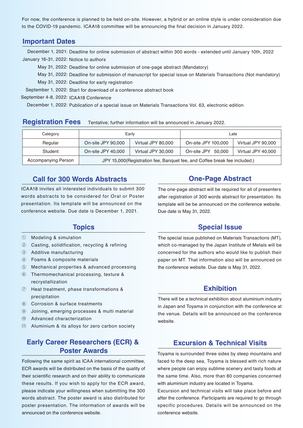For now, the conference is planned to be held on-site. However, a hybrid or an online style is under consideration due to the COVID-19 pandemic. ICAA18 committee will be announcing the final decision in January 2022.

#### **Important Dates**

December 1, 2021: Deadline for online submission of abstract within 300 words - extended until January 10th, 2022 January 16-31, 2022: Notice to authors

May 31, 2022: Deadline for online submission of one-page abstract (Mandatory)

May 31, 2022: Deadline for submission of manuscript for special issue on Materials Transactions (Not mandatory)

May 31, 2022: Deadline for early registration

September 1, 2022: Start for download of a conference abstract book

September 4-8, 2022: ICAA18 Conference

December 1, 2022: Publication of a special issue on Materials Transactions Vol. 63, electronic edition

| <b>Registration Fees</b> | Tentative; further information will be announced in January 2022. |
|--------------------------|-------------------------------------------------------------------|
|--------------------------|-------------------------------------------------------------------|

| Category            | Early                                                                      |                    | Late                |                    |
|---------------------|----------------------------------------------------------------------------|--------------------|---------------------|--------------------|
| Regular             | On-site JPY 90,000                                                         | Virtual JPY 80,000 | On-site JPY 100,000 | Virtual JPY 90,000 |
| Student             | On-site JPY 40,000                                                         | Virtual JPY 30,000 | On-site JPY 50,000  | Virtual JPY 40,000 |
| Accompanying Person | JPY 15,000 (Registration fee, Banquet fee, and Coffee break fee included.) |                    |                     |                    |

#### **Call for 300 Words Abstracts**

ICAA18 invites all interested individuals to submit 300 words abstracts to be considered for Oral or Poster presentation. Its template will be announced on the conference website. Due date is December 1, 2021.

#### **Topics**

- ① Modeling & simulation
- ② Casting, solidification, recycling & refining
- ③ Additive manufacturing
- ④ Foams & composite materials
- ⑤ Mechanical properties & advanced processing
- ⑥ Thermomechanical processing, texture & recrystallization
- ⑦ Heat treatment, phase transformations & precipitation
- ⑧ Corrosion & surface treatments
- ⑨ Joining, emerging processes & multi material
- ⑩ Advanced characterization
- ⑪ Aluminium & its alloys for zero carbon society

#### **Early Career Researchers (ECR) & Poster Awards**

Following the same spirit as ICAA international committee, ECR awards will be distributed on the basis of the quality of their scientific research and on their ability to communicate these results. If you wish to apply for the ECR award, please indicate your willingness when submitting the 300 words abstract. The poster award is also distributed for poster presentation. The information of awards will be announced on the conference website.

#### **One-Page Abstract**

The one-page abstract will be required for all of presenters after registration of 300 words abstract for presentation. Its template will be be announced on the conference website. Due date is May 31, 2022.

#### **Special Issue**

The special issue published on Materials Transactions (MT), which co-managed by the Japan Institute of Metals will be concerned for the authors who would like to publish their paper on MT. That information also will be announced on the conference website. Due date is May 31, 2022.

#### **Exhibition**

There will be a technical exhibition about aluminium industry in Japan and Toyama in conjunction with the conference at the venue. Details will be announced on the conference website.

#### **Excursion & Technical Visits**

Toyama is surrounded three sides by steep mountains and faced to the deep sea, Toyama is blessed with rich nature where people can enjoy sublime scenery and tasty foods at the same time. Also, more than 80 companies concerned with aluminium industry are located in Toyama.

Excursion and technical visits will take place before and after the conference. Participants are required to go through specific procedures. Details will be announced on the conference website.